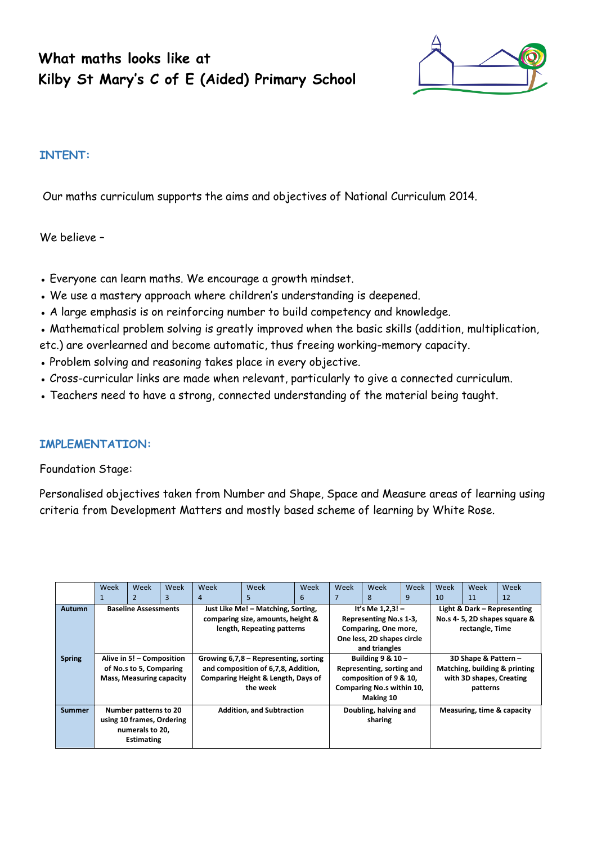# **What maths looks like at Kilby St Mary's C of E (Aided) Primary School**



# **INTENT:**

Our maths curriculum supports the aims and objectives of National Curriculum 2014.

We believe –

- Everyone can learn maths. We encourage a growth mindset.
- We use a mastery approach where children's understanding is deepened.
- A large emphasis is on reinforcing number to build competency and knowledge.
- Mathematical problem solving is greatly improved when the basic skills (addition, multiplication,
- etc.) are overlearned and become automatic, thus freeing working-memory capacity.
- Problem solving and reasoning takes place in every objective.
- Cross-curricular links are made when relevant, particularly to give a connected curriculum.
- Teachers need to have a strong, connected understanding of the material being taught.

## **IMPLEMENTATION:**

Foundation Stage:

Personalised objectives taken from Number and Shape, Space and Measure areas of learning using criteria from Development Matters and mostly based scheme of learning by White Rose.

|               | Week                            | Week              | Week                                          | Week                                  | Week | Week                   | Week                       | Week | Week                        | Week                          | Week | Week |
|---------------|---------------------------------|-------------------|-----------------------------------------------|---------------------------------------|------|------------------------|----------------------------|------|-----------------------------|-------------------------------|------|------|
|               |                                 |                   |                                               | 4                                     | 5    | 6                      |                            | 8    | 9                           | 10                            | 11   | 12   |
| <b>Autumn</b> | <b>Baseline Assessments</b>     |                   | Just Like Me! - Matching, Sorting,            |                                       |      |                        | It's Me $1,2,3!$ -         |      | Light & Dark - Representing |                               |      |      |
|               |                                 |                   |                                               | comparing size, amounts, height &     |      |                        | Representing No.s 1-3,     |      |                             | No.s 4-5, 2D shapes square &  |      |      |
|               |                                 |                   |                                               | length, Repeating patterns            |      |                        | Comparing, One more,       |      |                             | rectangle, Time               |      |      |
|               |                                 |                   |                                               |                                       |      |                        | One less, 2D shapes circle |      |                             |                               |      |      |
|               |                                 |                   |                                               |                                       |      | and triangles          |                            |      |                             |                               |      |      |
| <b>Spring</b> | Alive in 5! - Composition       |                   |                                               | Growing 6,7,8 – Representing, sorting |      |                        | Building $9 & 10 -$        |      |                             | 3D Shape & Pattern -          |      |      |
|               | of No.s to 5, Comparing         |                   |                                               | and composition of 6,7,8, Addition,   |      |                        | Representing, sorting and  |      |                             | Matching, building & printing |      |      |
|               | <b>Mass, Measuring capacity</b> |                   | <b>Comparing Height &amp; Length, Days of</b> |                                       |      | composition of 9 & 10, |                            |      | with 3D shapes, Creating    |                               |      |      |
|               |                                 |                   |                                               | the week                              |      |                        | Comparing No.s within 10,  |      |                             | patterns                      |      |      |
|               |                                 |                   |                                               |                                       |      |                        | Making 10                  |      |                             |                               |      |      |
| <b>Summer</b> | Number patterns to 20           |                   |                                               | <b>Addition, and Subtraction</b>      |      |                        | Doubling, halving and      |      |                             | Measuring, time & capacity    |      |      |
|               | using 10 frames, Ordering       |                   |                                               |                                       |      | sharing                |                            |      |                             |                               |      |      |
|               | numerals to 20,                 |                   |                                               |                                       |      |                        |                            |      |                             |                               |      |      |
|               |                                 | <b>Estimating</b> |                                               |                                       |      |                        |                            |      |                             |                               |      |      |
|               |                                 |                   |                                               |                                       |      |                        |                            |      |                             |                               |      |      |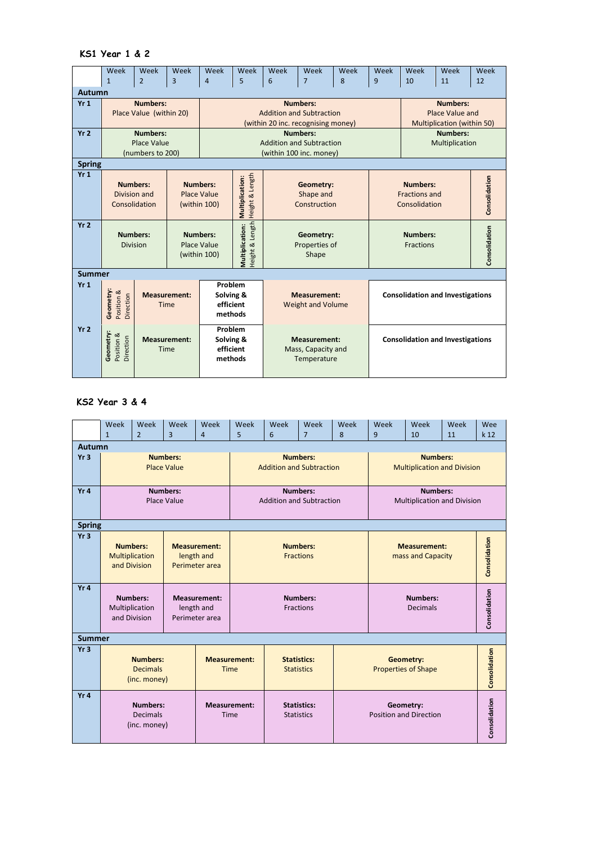#### **KS1 Year 1 & 2**

|                 | Week                                                             | Week                    | Week                | Week                            | Week                               | Week                                      | Week                              | Week | Week            | Week                                    | Week            | Week          |  |  |
|-----------------|------------------------------------------------------------------|-------------------------|---------------------|---------------------------------|------------------------------------|-------------------------------------------|-----------------------------------|------|-----------------|-----------------------------------------|-----------------|---------------|--|--|
|                 | $\mathbf{1}$                                                     | $\overline{2}$          | 3                   | $\overline{4}$                  | 5                                  | 6                                         | $\overline{7}$                    | 8    | 9               | 10                                      | 11              | 12            |  |  |
|                 | Autumn                                                           |                         |                     |                                 |                                    |                                           |                                   |      |                 |                                         |                 |               |  |  |
| Yr1             |                                                                  | <b>Numbers:</b>         |                     |                                 |                                    |                                           | <b>Numbers:</b>                   |      |                 | <b>Numbers:</b>                         |                 |               |  |  |
|                 |                                                                  | Place Value (within 20) |                     | <b>Addition and Subtraction</b> |                                    |                                           |                                   |      |                 |                                         | Place Value and |               |  |  |
|                 |                                                                  |                         |                     |                                 |                                    | (within 20 inc. recognising money)        | <b>Multiplication (within 50)</b> |      |                 |                                         |                 |               |  |  |
| Yr <sub>2</sub> |                                                                  | Numbers:                |                     | Numbers:                        |                                    |                                           |                                   |      |                 |                                         | <b>Numbers:</b> |               |  |  |
|                 |                                                                  | Place Value             |                     |                                 |                                    |                                           | <b>Addition and Subtraction</b>   |      |                 |                                         | Multiplication  |               |  |  |
|                 |                                                                  | (numbers to 200)        |                     |                                 |                                    |                                           | (within 100 inc. money)           |      |                 |                                         |                 |               |  |  |
| <b>Spring</b>   |                                                                  |                         |                     |                                 |                                    |                                           |                                   |      |                 |                                         |                 |               |  |  |
| Yr1             |                                                                  |                         |                     |                                 |                                    |                                           |                                   |      |                 |                                         |                 |               |  |  |
|                 | <b>Numbers:</b>                                                  |                         |                     | <b>Numbers:</b>                 |                                    |                                           | Geometry:                         |      | <b>Numbers:</b> |                                         |                 | Consolidation |  |  |
|                 | Division and                                                     |                         | <b>Place Value</b>  |                                 |                                    |                                           | Shape and                         |      |                 | Fractions and                           |                 |               |  |  |
|                 | Consolidation                                                    |                         |                     | (within 100)                    |                                    | Construction                              |                                   |      | Consolidation   |                                         |                 |               |  |  |
|                 |                                                                  |                         |                     |                                 | Height & Length<br>Multiplication: |                                           |                                   |      |                 |                                         |                 |               |  |  |
| Yr <sub>2</sub> |                                                                  |                         |                     |                                 | Height & Length                    |                                           |                                   |      |                 |                                         |                 |               |  |  |
|                 | <b>Numbers:</b>                                                  |                         |                     | <b>Numbers:</b>                 |                                    | Geometry:                                 |                                   |      |                 | <b>Numbers:</b>                         |                 |               |  |  |
|                 | <b>Division</b><br>Place Value                                   |                         |                     |                                 |                                    | Properties of                             |                                   |      |                 | Fractions                               |                 |               |  |  |
|                 |                                                                  |                         |                     | (within 100)                    | Multiplication:                    | Shape                                     |                                   |      |                 |                                         |                 | Consolidation |  |  |
|                 |                                                                  |                         |                     |                                 |                                    |                                           |                                   |      |                 |                                         |                 |               |  |  |
| <b>Summer</b>   |                                                                  |                         |                     |                                 |                                    |                                           |                                   |      |                 |                                         |                 |               |  |  |
| Yr1             |                                                                  |                         |                     | Problem                         |                                    |                                           |                                   |      |                 |                                         |                 |               |  |  |
|                 |                                                                  |                         | <b>Measurement:</b> | Solving &                       |                                    | <b>Measurement:</b>                       |                                   |      |                 | <b>Consolidation and Investigations</b> |                 |               |  |  |
|                 | Geometry:<br>Position &<br>Direction<br>efficient<br><b>Time</b> |                         |                     |                                 |                                    | <b>Weight and Volume</b>                  |                                   |      |                 |                                         |                 |               |  |  |
|                 |                                                                  |                         |                     | methods                         |                                    |                                           |                                   |      |                 |                                         |                 |               |  |  |
| Yr <sub>2</sub> |                                                                  |                         |                     | Problem                         |                                    | <b>Measurement:</b><br>Mass, Capacity and |                                   |      |                 | <b>Consolidation and Investigations</b> |                 |               |  |  |
|                 | Geometry:<br>Position &<br>Direction                             |                         | <b>Measurement:</b> | Solving &                       |                                    |                                           |                                   |      |                 |                                         |                 |               |  |  |
|                 |                                                                  | Time                    |                     | efficient                       |                                    |                                           |                                   |      |                 |                                         |                 |               |  |  |
|                 |                                                                  |                         |                     | methods                         |                                    | Temperature                               |                                   |      |                 |                                         |                 |               |  |  |
|                 |                                                                  |                         |                     |                                 |                                    |                                           |                                   |      |                 |                                         |                 |               |  |  |
|                 |                                                                  |                         |                     |                                 |                                    |                                           |                                   |      |                 |                                         |                 |               |  |  |

## **KS2 Year 3 & 4**

|                 | Week                                               | Week                                              | Week                                  | Week                                                | Week                                                                          | Week                                    | Week                                               | Week | Week                                                  | Week          | Week | Wee             |
|-----------------|----------------------------------------------------|---------------------------------------------------|---------------------------------------|-----------------------------------------------------|-------------------------------------------------------------------------------|-----------------------------------------|----------------------------------------------------|------|-------------------------------------------------------|---------------|------|-----------------|
| Autumn          | $\mathbf{1}$                                       | $\overline{2}$                                    | $\overline{3}$                        | $\overline{4}$                                      | 5                                                                             | 6                                       | $\overline{7}$                                     | 8    | 9                                                     | 10            | 11   | k <sub>12</sub> |
| Yr <sub>3</sub> |                                                    |                                                   | <b>Numbers:</b><br><b>Place Value</b> |                                                     | <b>Numbers:</b><br><b>Addition and Subtraction</b>                            |                                         |                                                    |      | <b>Numbers:</b><br><b>Multiplication and Division</b> |               |      |                 |
| Yr4             |                                                    |                                                   | <b>Numbers:</b><br>Place Value        |                                                     |                                                                               |                                         | <b>Numbers:</b><br><b>Addition and Subtraction</b> |      | Numbers:<br><b>Multiplication and Division</b>        |               |      |                 |
|                 | <b>Spring</b>                                      |                                                   |                                       |                                                     |                                                                               |                                         |                                                    |      |                                                       |               |      |                 |
| Yr <sub>3</sub> |                                                    | <b>Numbers:</b><br>Multiplication<br>and Division |                                       | <b>Measurement:</b><br>length and<br>Perimeter area | <b>Numbers:</b><br><b>Fractions</b>                                           |                                         |                                                    |      | <b>Measurement:</b><br>mass and Capacity              | Consolidation |      |                 |
| Yr4             |                                                    | <b>Numbers:</b><br>Multiplication<br>and Division |                                       | Measurement:<br>length and<br>Perimeter area        |                                                                               |                                         | <b>Numbers:</b><br><b>Fractions</b>                |      |                                                       | Consolidation |      |                 |
| <b>Summer</b>   |                                                    |                                                   |                                       |                                                     |                                                                               |                                         |                                                    |      |                                                       |               |      |                 |
| Yr <sub>3</sub> | <b>Numbers:</b><br><b>Decimals</b><br>(inc. money) |                                                   |                                       |                                                     | <b>Measurement:</b><br><b>Statistics:</b><br><b>Time</b><br><b>Statistics</b> |                                         |                                                    |      | Geometry:<br><b>Properties of Shape</b>               |               |      |                 |
| Yr4             | <b>Numbers:</b><br><b>Decimals</b><br>(inc. money) |                                                   |                                       |                                                     | <b>Measurement:</b><br>Time                                                   | <b>Statistics:</b><br><b>Statistics</b> |                                                    |      | Geometry:<br><b>Position and Direction</b>            |               |      |                 |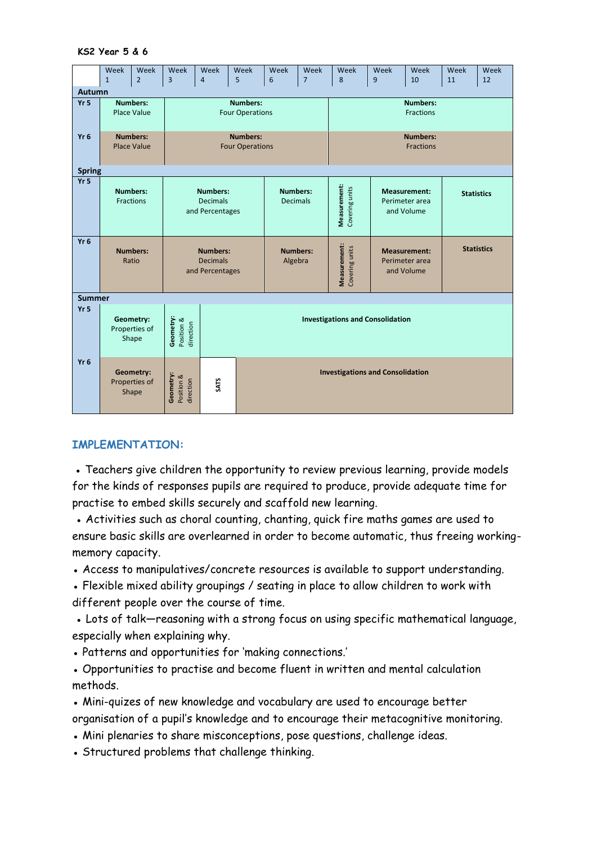#### **KS2 Year 5 & 6**

|                 | Week<br>$\mathbf{1}$ | Week<br>$\overline{2}$ | Week<br>$\overline{3}$               | Week<br>$\overline{4}$                  | Week<br>5              | Week<br>6       | Week<br>$\overline{7}$ | Week<br>8                               | Week<br>9           | Week<br>10                   | Week<br>11 | Week<br>12        |  |  |
|-----------------|----------------------|------------------------|--------------------------------------|-----------------------------------------|------------------------|-----------------|------------------------|-----------------------------------------|---------------------|------------------------------|------------|-------------------|--|--|
|                 |                      |                        |                                      |                                         |                        |                 |                        |                                         |                     |                              |            |                   |  |  |
| Autumn          |                      | <b>Numbers:</b>        |                                      |                                         | <b>Numbers:</b>        |                 |                        |                                         |                     |                              |            |                   |  |  |
| Yr <sub>5</sub> |                      | <b>Place Value</b>     |                                      |                                         | <b>Four Operations</b> |                 |                        |                                         |                     | <b>Numbers:</b><br>Fractions |            |                   |  |  |
|                 |                      |                        |                                      |                                         |                        |                 |                        |                                         |                     |                              |            |                   |  |  |
| Yr <sub>6</sub> |                      | <b>Numbers:</b>        |                                      |                                         | <b>Numbers:</b>        |                 |                        |                                         |                     | <b>Numbers:</b>              |            |                   |  |  |
|                 |                      | <b>Place Value</b>     |                                      |                                         | <b>Four Operations</b> |                 |                        |                                         |                     | <b>Fractions</b>             |            |                   |  |  |
|                 |                      |                        |                                      |                                         |                        |                 |                        |                                         |                     |                              |            |                   |  |  |
| <b>Spring</b>   |                      |                        |                                      |                                         |                        |                 |                        |                                         |                     |                              |            |                   |  |  |
| Yr <sub>5</sub> |                      |                        |                                      |                                         |                        |                 |                        |                                         |                     |                              |            |                   |  |  |
|                 | <b>Numbers:</b>      |                        | <b>Numbers:</b>                      |                                         |                        | <b>Numbers:</b> |                        |                                         |                     | <b>Measurement:</b>          |            | <b>Statistics</b> |  |  |
|                 | Fractions            |                        | <b>Decimals</b>                      |                                         |                        | <b>Decimals</b> |                        |                                         |                     | Perimeter area               |            |                   |  |  |
|                 |                      |                        |                                      | and Percentages                         |                        |                 |                        | Measurement:<br>Covering units          |                     | and Volume                   |            |                   |  |  |
|                 |                      |                        |                                      |                                         |                        |                 |                        |                                         |                     |                              |            |                   |  |  |
| Yr <sub>6</sub> |                      |                        |                                      |                                         |                        |                 |                        |                                         |                     |                              |            |                   |  |  |
|                 | <b>Numbers:</b>      |                        | <b>Numbers:</b>                      |                                         |                        | <b>Numbers:</b> |                        | Measurement:                            | <b>Measurement:</b> |                              |            | <b>Statistics</b> |  |  |
|                 | Ratio                |                        | <b>Decimals</b>                      |                                         | Algebra                |                 |                        |                                         | Perimeter area      |                              |            |                   |  |  |
|                 |                      |                        | and Percentages                      |                                         |                        |                 |                        | Covering units                          |                     | and Volume                   |            |                   |  |  |
|                 |                      |                        |                                      |                                         |                        |                 |                        |                                         |                     |                              |            |                   |  |  |
| <b>Summer</b>   |                      |                        |                                      |                                         |                        |                 |                        |                                         |                     |                              |            |                   |  |  |
| Yr <sub>5</sub> |                      |                        |                                      |                                         |                        |                 |                        |                                         |                     |                              |            |                   |  |  |
|                 |                      | Geometry:              |                                      | <b>Investigations and Consolidation</b> |                        |                 |                        |                                         |                     |                              |            |                   |  |  |
|                 |                      | Properties of<br>Shape | Geometry:<br>Position &<br>direction |                                         |                        |                 |                        |                                         |                     |                              |            |                   |  |  |
|                 |                      |                        |                                      |                                         |                        |                 |                        |                                         |                     |                              |            |                   |  |  |
| Yr <sub>6</sub> |                      |                        |                                      |                                         |                        |                 |                        |                                         |                     |                              |            |                   |  |  |
|                 |                      | Geometry:              |                                      |                                         |                        |                 |                        | <b>Investigations and Consolidation</b> |                     |                              |            |                   |  |  |
|                 |                      | Properties of          |                                      | <b>SATS</b>                             |                        |                 |                        |                                         |                     |                              |            |                   |  |  |
|                 |                      | Shape                  | Geometry:<br>Position &<br>direction |                                         |                        |                 |                        |                                         |                     |                              |            |                   |  |  |
|                 |                      |                        |                                      |                                         |                        |                 |                        |                                         |                     |                              |            |                   |  |  |

### **IMPLEMENTATION:**

• Teachers give children the opportunity to review previous learning, provide models for the kinds of responses pupils are required to produce, provide adequate time for practise to embed skills securely and scaffold new learning.

• Activities such as choral counting, chanting, quick fire maths games are used to ensure basic skills are overlearned in order to become automatic, thus freeing workingmemory capacity.

• Access to manipulatives/concrete resources is available to support understanding.

• Flexible mixed ability groupings / seating in place to allow children to work with different people over the course of time.

• Lots of talk-reasoning with a strong focus on using specific mathematical language, especially when explaining why.

● Patterns and opportunities for 'making connections.'

• Opportunities to practise and become fluent in written and mental calculation methods.

• Mini-quizes of new knowledge and vocabulary are used to encourage better organisation of a pupil's knowledge and to encourage their metacognitive monitoring.

- Mini plenaries to share misconceptions, pose questions, challenge ideas.
- Structured problems that challenge thinking.